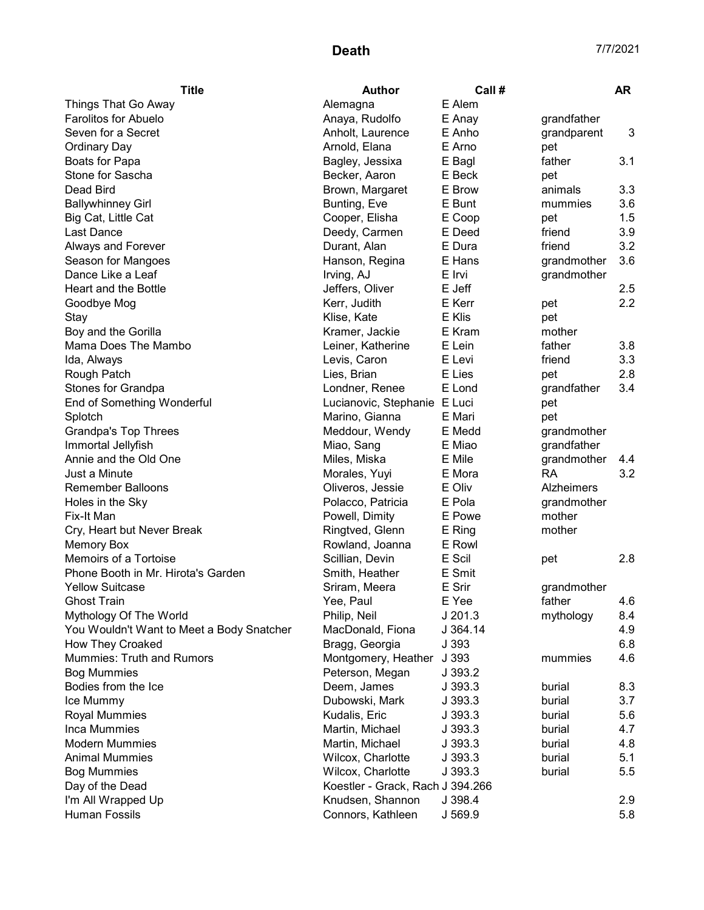| <b>Title</b>                              | <b>Author</b>                    | Call#    |                   | AR               |
|-------------------------------------------|----------------------------------|----------|-------------------|------------------|
| Things That Go Away                       | Alemagna                         | E Alem   |                   |                  |
| <b>Farolitos for Abuelo</b>               | Anaya, Rudolfo                   | E Anay   | grandfather       |                  |
| Seven for a Secret                        | Anholt, Laurence                 | E Anho   | grandparent       | 3                |
| <b>Ordinary Day</b>                       | Arnold, Elana                    | E Arno   | pet               |                  |
| Boats for Papa                            | Bagley, Jessixa                  | E Bagl   | father            | 3.1              |
| Stone for Sascha                          | Becker, Aaron                    | E Beck   | pet               |                  |
| Dead Bird                                 | Brown, Margaret                  | E Brow   | animals           | 3.3              |
| <b>Ballywhinney Girl</b>                  | Bunting, Eve                     | E Bunt   | mummies           | 3.6              |
| Big Cat, Little Cat                       | Cooper, Elisha                   | E Coop   | pet               | 1.5              |
| Last Dance                                | Deedy, Carmen                    | E Deed   | friend            | 3.9              |
| Always and Forever                        | Durant, Alan                     | E Dura   | friend            | 3.2              |
| Season for Mangoes                        | Hanson, Regina                   | E Hans   | grandmother       | 3.6              |
| Dance Like a Leaf                         | Irving, AJ                       | E Irvi   | grandmother       |                  |
| Heart and the Bottle                      | Jeffers, Oliver                  | E Jeff   |                   | 2.5              |
| Goodbye Mog                               | Kerr, Judith                     | E Kerr   | pet               | $2.2\phantom{0}$ |
| Stay                                      | Klise, Kate                      | E Klis   | pet               |                  |
| Boy and the Gorilla                       | Kramer, Jackie                   | E Kram   | mother            |                  |
| Mama Does The Mambo                       | Leiner, Katherine                | E Lein   | father            | 3.8              |
| Ida, Always                               | Levis, Caron                     | E Levi   | friend            | 3.3              |
| Rough Patch                               | Lies, Brian                      | E Lies   | pet               | 2.8              |
| Stones for Grandpa                        | Londner, Renee                   | E Lond   | grandfather       | 3.4              |
| End of Something Wonderful                | Lucianovic, Stephanie E Luci     |          | pet               |                  |
| Splotch                                   | Marino, Gianna                   | E Mari   | pet               |                  |
| <b>Grandpa's Top Threes</b>               | Meddour, Wendy                   | E Medd   | grandmother       |                  |
| Immortal Jellyfish                        | Miao, Sang                       | E Miao   | grandfather       |                  |
| Annie and the Old One                     | Miles, Miska                     | E Mile   | grandmother       | 4.4              |
| Just a Minute                             | Morales, Yuyi                    | E Mora   | <b>RA</b>         | 3.2              |
| <b>Remember Balloons</b>                  | Oliveros, Jessie                 | E Oliv   | <b>Alzheimers</b> |                  |
| Holes in the Sky                          | Polacco, Patricia                | E Pola   | grandmother       |                  |
| Fix-It Man                                | Powell, Dimity                   | E Powe   | mother            |                  |
| Cry, Heart but Never Break                | Ringtved, Glenn                  | E Ring   | mother            |                  |
| <b>Memory Box</b>                         | Rowland, Joanna                  | E Rowl   |                   |                  |
| Memoirs of a Tortoise                     | Scillian, Devin                  | E Scil   | pet               | 2.8              |
| Phone Booth in Mr. Hirota's Garden        | Smith, Heather                   | E Smit   |                   |                  |
| <b>Yellow Suitcase</b>                    | Sriram, Meera                    | E Srir   | grandmother       |                  |
| <b>Ghost Train</b>                        | Yee, Paul                        | E Yee    | father            | 4.6              |
| Mythology Of The World                    | Philip, Neil                     | J201.3   | mythology         | 8.4              |
| You Wouldn't Want to Meet a Body Snatcher | MacDonald, Fiona                 | J 364.14 |                   | 4.9              |
| <b>How They Croaked</b>                   | Bragg, Georgia                   | J 393    |                   | 6.8              |
| <b>Mummies: Truth and Rumors</b>          | Montgomery, Heather              | J 393    | mummies           | 4.6              |
| <b>Bog Mummies</b>                        | Peterson, Megan                  | J 393.2  |                   |                  |
| Bodies from the Ice                       | Deem, James                      | J 393.3  | burial            | 8.3              |
| Ice Mummy                                 | Dubowski, Mark                   | J 393.3  | burial            | 3.7              |
| Royal Mummies                             | Kudalis, Eric                    | J 393.3  | burial            | 5.6              |
| Inca Mummies                              | Martin, Michael                  | J 393.3  | burial            | 4.7              |
| <b>Modern Mummies</b>                     | Martin, Michael                  | J393.3   | burial            | 4.8              |
| <b>Animal Mummies</b>                     | Wilcox, Charlotte                | J 393.3  | burial            | 5.1              |
| <b>Bog Mummies</b>                        | Wilcox, Charlotte                | J 393.3  | burial            | 5.5              |
| Day of the Dead                           | Koestler - Grack, Rach J 394.266 |          |                   |                  |
| I'm All Wrapped Up                        | Knudsen, Shannon                 | J 398.4  |                   | 2.9              |
| Human Fossils                             | Connors, Kathleen                | J 569.9  |                   | 5.8              |